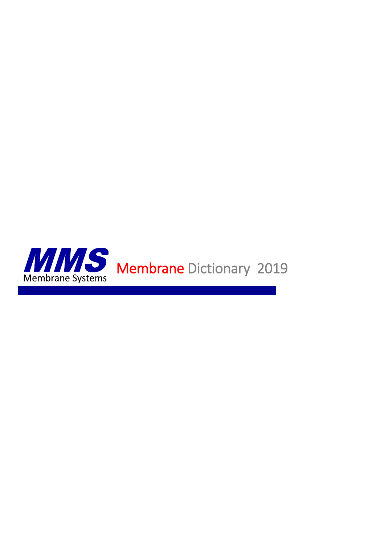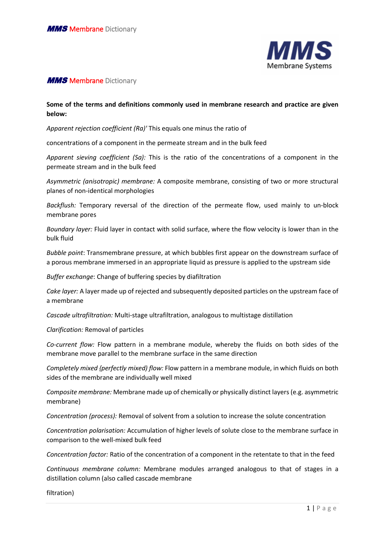

## **MMS** Membrane Dictionary

## **Some of the terms and definitions commonly used in membrane research and practice are given below:**

*Apparent rejection coefficient (Ra)'* This equals one minus the ratio of

concentrations of a component in the permeate stream and in the bulk feed

*Apparent sieving coefficient (Sa):* This is the ratio of the concentrations of a component in the permeate stream and in the bulk feed

*Asymmetric (anisotropic) membrane:* A composite membrane, consisting of two or more structural planes of non-identical morphologies

*Backflush:* Temporary reversal of the direction of the permeate flow, used mainly to un-block membrane pores

*Boundary layer:* Fluid layer in contact with solid surface, where the flow velocity is lower than in the bulk fluid

*Bubble point*: Transmembrane pressure, at which bubbles first appear on the downstream surface of a porous membrane immersed in an appropriate liquid as pressure is applied to the upstream side

*Buffer exchange*: Change of buffering species by diafiltration

*Cake layer:* A layer made up of rejected and subsequently deposited particles on the upstream face of a membrane

*Cascade ultrafiltration:* Multi-stage ultrafiltration, analogous to multistage distillation

*Clarification:* Removal of particles

*Co-current flow:* Flow pattern in a membrane module, whereby the fluids on both sides of the membrane move parallel to the membrane surface in the same direction

*Completely mixed {perfectly mixed) flow:* Flow pattern in a membrane module, in which fluids on both sides of the membrane are individually well mixed

*Composite membrane:* Membrane made up of chemically or physically distinct layers (e.g. asymmetric membrane)

*Concentration (process):* Removal of solvent from a solution to increase the solute concentration

*Concentration polarisation:* Accumulation of higher levels of solute close to the membrane surface in comparison to the well-mixed bulk feed

*Concentration factor:* Ratio of the concentration of a component in the retentate to that in the feed

*Continuous membrane column:* Membrane modules arranged analogous to that of stages in a distillation column (also called cascade membrane

filtration)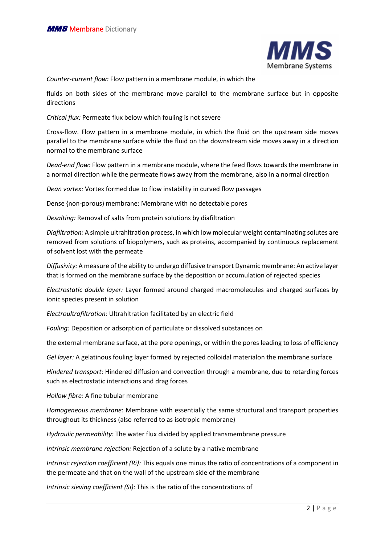

*Counter-current flow:* Flow pattern in a membrane module, in which the

fluids on both sides of the membrane move parallel to the membrane surface but in opposite directions

*Critical flux:* Permeate flux below which fouling is not severe

Cross-flow. Flow pattern in a membrane module, in which the fluid on the upstream side moves parallel to the membrane surface while the fluid on the downstream side moves away in a direction normal to the membrane surface

*Dead-end flow:* Flow pattern in a membrane module, where the feed flows towards the membrane in a normal direction while the permeate flows away from the membrane, also in a normal direction

*Dean vortex:* Vortex formed due to flow instability in curved flow passages

Dense {non-porous) membrane: Membrane with no detectable pores

*Desalting:* Removal of salts from protein solutions by diafiltration

*Diafiltration:* A simple ultrahltration process, in which low molecular weight contaminating solutes are removed from solutions of biopolymers, such as proteins, accompanied by continuous replacement of solvent lost with the permeate

*Diffusivity:* A measure of the ability to undergo diffusive transport Dynamic membrane: An active layer that is formed on the membrane surface by the deposition or accumulation of rejected species

*Electrostatic double layer:* Layer formed around charged macromolecules and charged surfaces by ionic species present in solution

*Electroultrafiltration:* Ultrahltration facilitated by an electric field

*Fouling:* Deposition or adsorption of particulate or dissolved substances on

the external membrane surface, at the pore openings, or within the pores leading to loss of efficiency

*Gel layer:* A gelatinous fouling layer formed by rejected colloidal materialon the membrane surface

*Hindered transport:* Hindered diffusion and convection through a membrane, due to retarding forces such as electrostatic interactions and drag forces

*Hollow fibre:* A fine tubular membrane

*Homogeneous membrane*: Membrane with essentially the same structural and transport properties throughout its thickness (also referred to as isotropic membrane)

*Hydraulic permeability:* The water flux divided by applied transmembrane pressure

*Intrinsic membrane rejection:* Rejection of a solute by a native membrane

*Intrinsic rejection coefficient (Ri):* This equals one minus the ratio of concentrations of a component in the permeate and that on the wall of the upstream side of the membrane

*Intrinsic sieving coefficient (Si):* This is the ratio of the concentrations of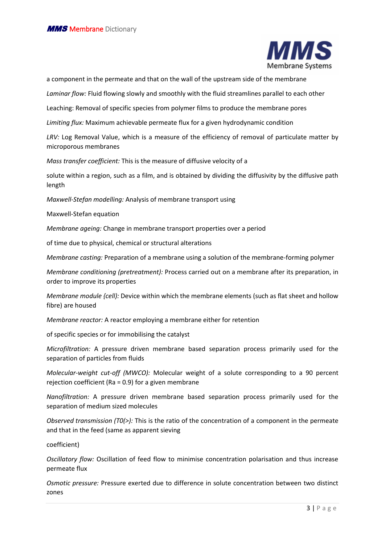

a component in the permeate and that on the wall of the upstream side of the membrane

*Laminar flow:* Fluid flowing slowly and smoothly with the fluid streamlines parallel to each other

Leaching: Removal of specific species from polymer films to produce the membrane pores

*Limiting flux:* Maximum achievable permeate flux for a given hydrodynamic condition

*LRV:* Log Removal Value, which is a measure of the efficiency of removal of particulate matter by microporous membranes

*Mass transfer coefficient:* This is the measure of diffusive velocity of a

solute within a region, such as a film, and is obtained by dividing the diffusivity by the diffusive path length

*Maxwell-Stefan modelling:* Analysis of membrane transport using

Maxwell-Stefan equation

*Membrane ageing:* Change in membrane transport properties over a period

of time due to physical, chemical or structural alterations

*Membrane casting:* Preparation of a membrane using a solution of the membrane-forming polymer

*Membrane conditioning (pretreatment):* Process carried out on a membrane after its preparation, in order to improve its properties

*Membrane module {cell):* Device within which the membrane elements (such as flat sheet and hollow fibre) are housed

*Membrane reactor:* A reactor employing a membrane either for retention

of specific species or for immobilising the catalyst

*Microfiltration:* A pressure driven membrane based separation process primarily used for the separation of particles from fluids

*Molecular-weight cut-off (MWCO):* Molecular weight of a solute corresponding to a 90 percent rejection coefficient (Ra = 0.9) for a given membrane

*Nanofiltration:* A pressure driven membrane based separation process primarily used for the separation of medium sized molecules

*Observed transmission (T0(>):* This is the ratio of the concentration of a component in the permeate and that in the feed (same as apparent sieving

coefficient)

*Oscillatory flow:* Oscillation of feed flow to minimise concentration polarisation and thus increase permeate flux

*Osmotic pressure:* Pressure exerted due to difference in solute concentration between two distinct zones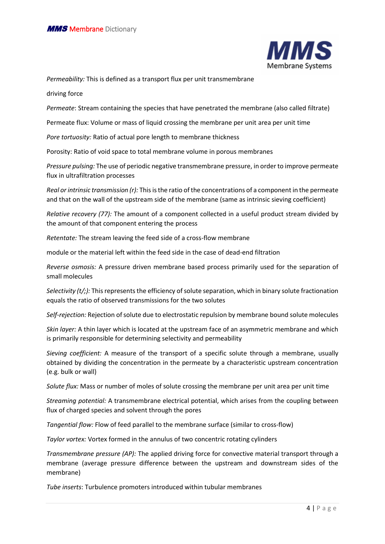

*Permeability:* This is defined as a transport flux per unit transmembrane

driving force

*Permeate*: Stream containing the species that have penetrated the membrane (also called filtrate)

Permeate flux: Volume or mass of liquid crossing the membrane per unit area per unit time

*Pore tortuosity:* Ratio of actual pore length to membrane thickness

Porosity: Ratio of void space to total membrane volume in porous membranes

*Pressure pulsing:* The use of periodic negative transmembrane pressure, in order to improve permeate flux in ultrafiltration processes

*Real or intrinsic transmission (r):* This is the ratio of the concentrations of a component in the permeate and that on the wall of the upstream side of the membrane (same as intrinsic sieving coefficient)

*Relative recovery (77):* The amount of a component collected in a useful product stream divided by the amount of that component entering the process

*Retentate:* The stream leaving the feed side of a cross-flow membrane

module or the material left within the feed side in the case of dead-end filtration

*Reverse osmosis:* A pressure driven membrane based process primarily used for the separation of small molecules

*Selectivity (t/;):* This represents the efficiency of solute separation, which in binary solute fractionation equals the ratio of observed transmissions for the two solutes

*Self-rejection:* Rejection of solute due to electrostatic repulsion by membrane bound solute molecules

*Skin layer:* A thin layer which is located at the upstream face of an asymmetric membrane and which is primarily responsible for determining selectivity and permeability

*Sieving coefficient:* A measure of the transport of a specific solute through a membrane, usually obtained by dividing the concentration in the permeate by a characteristic upstream concentration (e.g. bulk or wall)

*Solute flux:* Mass or number of moles of solute crossing the membrane per unit area per unit time

*Streaming potential:* A transmembrane electrical potential, which arises from the coupling between flux of charged species and solvent through the pores

*Tangential flow:* Flow of feed parallel to the membrane surface (similar to cross-flow)

*Taylor vortex:* Vortex formed in the annulus of two concentric rotating cylinders

*Transmembrane pressure (AP):* The applied driving force for convective material transport through a membrane (average pressure difference between the upstream and downstream sides of the membrane)

*Tube inserts*: Turbulence promoters introduced within tubular membranes